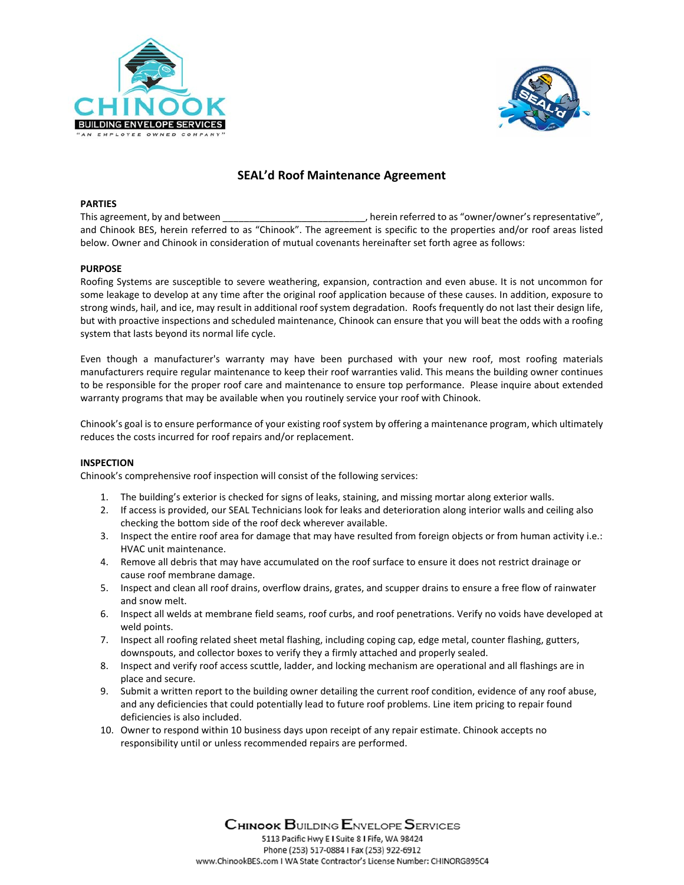



# **SEAL'd Roof Maintenance Agreement**

#### **PARTIES**

This agreement, by and between the same contact to a subset of the referred to as "owner/owner's representative", and Chinook BES, herein referred to as "Chinook". The agreement is specific to the properties and/or roof areas listed below. Owner and Chinook in consideration of mutual covenants hereinafter set forth agree as follows:

#### **PURPOSE**

Roofing Systems are susceptible to severe weathering, expansion, contraction and even abuse. It is not uncommon for some leakage to develop at any time after the original roof application because of these causes. In addition, exposure to strong winds, hail, and ice, may result in additional roof system degradation. Roofs frequently do not last their design life, but with proactive inspections and scheduled maintenance, Chinook can ensure that you will beat the odds with a roofing system that lasts beyond its normal life cycle.

Even though a manufacturer's warranty may have been purchased with your new roof, most roofing materials manufacturers require regular maintenance to keep their roof warranties valid. This means the building owner continues to be responsible for the proper roof care and maintenance to ensure top performance. Please inquire about extended warranty programs that may be available when you routinely service your roof with Chinook.

Chinook's goal is to ensure performance of your existing roof system by offering a maintenance program, which ultimately reduces the costs incurred for roof repairs and/or replacement.

#### **INSPECTION**

Chinook's comprehensive roof inspection will consist of the following services:

- 1. The building's exterior is checked for signs of leaks, staining, and missing mortar along exterior walls.
- 2. If access is provided, our SEAL Technicians look for leaks and deterioration along interior walls and ceiling also checking the bottom side of the roof deck wherever available.
- 3. Inspect the entire roof area for damage that may have resulted from foreign objects or from human activity i.e.: HVAC unit maintenance.
- 4. Remove all debris that may have accumulated on the roof surface to ensure it does not restrict drainage or cause roof membrane damage.
- 5. Inspect and clean all roof drains, overflow drains, grates, and scupper drains to ensure a free flow of rainwater and snow melt.
- 6. Inspect all welds at membrane field seams, roof curbs, and roof penetrations. Verify no voids have developed at weld points.
- 7. Inspect all roofing related sheet metal flashing, including coping cap, edge metal, counter flashing, gutters, downspouts, and collector boxes to verify they a firmly attached and properly sealed.
- 8. Inspect and verify roof access scuttle, ladder, and locking mechanism are operational and all flashings are in place and secure.
- 9. Submit a written report to the building owner detailing the current roof condition, evidence of any roof abuse, and any deficiencies that could potentially lead to future roof problems. Line item pricing to repair found deficiencies is also included.
- 10. Owner to respond within 10 business days upon receipt of any repair estimate. Chinook accepts no responsibility until or unless recommended repairs are performed.

**CHINOOK BUILDING ENVELOPE SERVICES** 5113 Pacific Hwy E I Suite 8 I Fife. WA 98424 Phone (253) 517-0884 I Fax (253) 922-6912 www.ChinookBES.com I WA State Contractor's License Number: CHINORG895C4